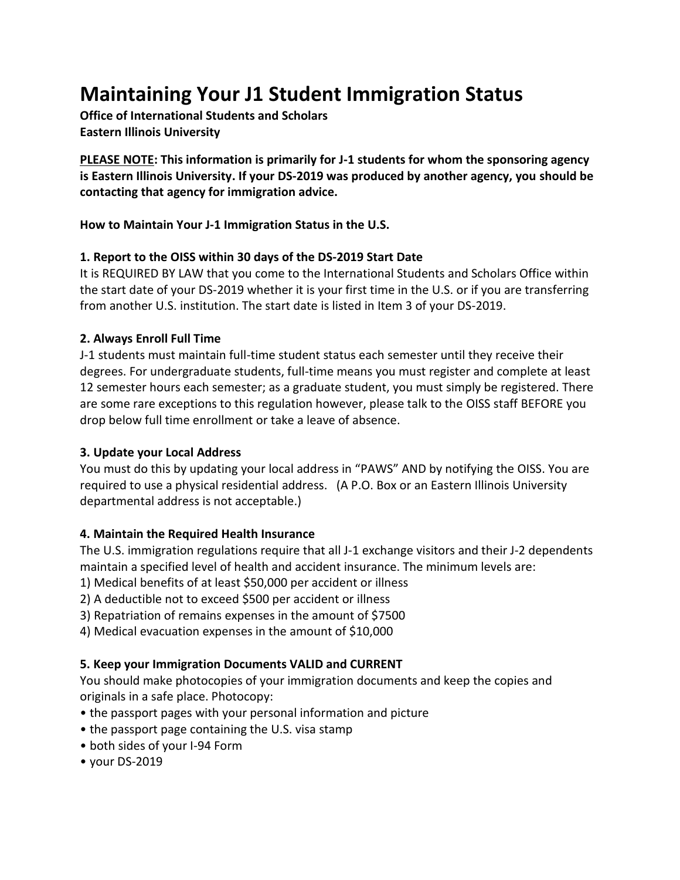# **Maintaining Your J1 Student Immigration Status**

**Office of International Students and Scholars Eastern Illinois University**

**PLEASE NOTE: This information is primarily for J-1 students for whom the sponsoring agency is Eastern Illinois University. If your DS-2019 was produced by another agency, you should be contacting that agency for immigration advice.**

**How to Maintain Your J-1 Immigration Status in the U.S.**

## **1. Report to the OISS within 30 days of the DS-2019 Start Date**

It is REQUIRED BY LAW that you come to the International Students and Scholars Office within the start date of your DS-2019 whether it is your first time in the U.S. or if you are transferring from another U.S. institution. The start date is listed in Item 3 of your DS-2019.

## **2. Always Enroll Full Time**

J-1 students must maintain full-time student status each semester until they receive their degrees. For undergraduate students, full-time means you must register and complete at least 12 semester hours each semester; as a graduate student, you must simply be registered. There are some rare exceptions to this regulation however, please talk to the OISS staff BEFORE you drop below full time enrollment or take a leave of absence.

# **3. Update your Local Address**

You must do this by updating your local address in "PAWS" AND by notifying the OISS. You are required to use a physical residential address. (A P.O. Box or an Eastern Illinois University departmental address is not acceptable.)

## **4. Maintain the Required Health Insurance**

The U.S. immigration regulations require that all J-1 exchange visitors and their J-2 dependents maintain a specified level of health and accident insurance. The minimum levels are:

1) Medical benefits of at least \$50,000 per accident or illness

2) A deductible not to exceed \$500 per accident or illness

3) Repatriation of remains expenses in the amount of \$7500

4) Medical evacuation expenses in the amount of \$10,000

## **5. Keep your Immigration Documents VALID and CURRENT**

You should make photocopies of your immigration documents and keep the copies and originals in a safe place. Photocopy:

- the passport pages with your personal information and picture
- the passport page containing the U.S. visa stamp
- both sides of your I-94 Form
- your DS-2019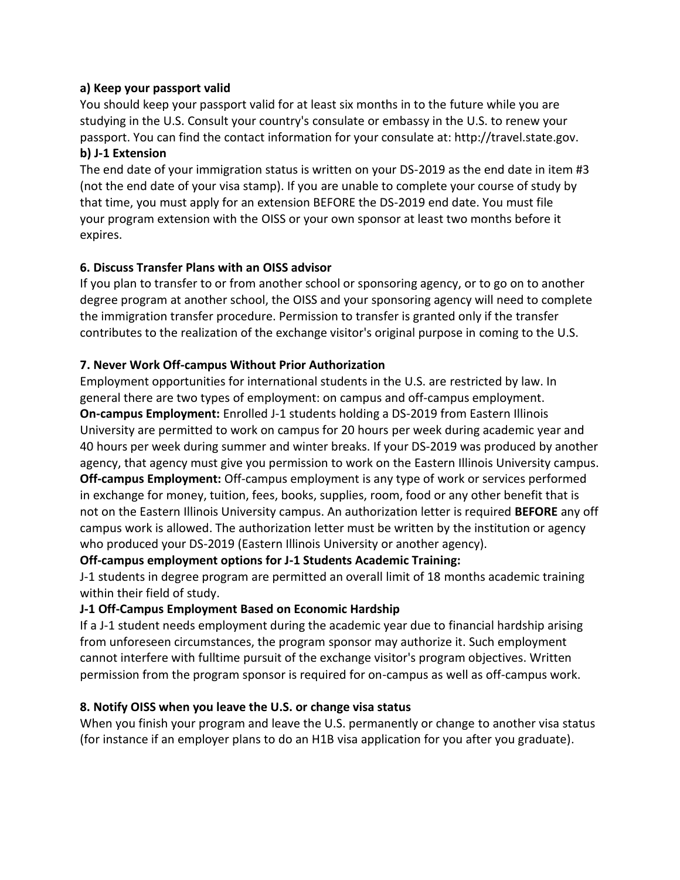#### **a) Keep your passport valid**

You should keep your passport valid for at least six months in to the future while you are studying in the U.S. Consult your country's consulate or embassy in the U.S. to renew your passport. You can find the contact information for your consulate at: http://travel.state.gov. **b) J-1 Extension**

The end date of your immigration status is written on your DS-2019 as the end date in item #3 (not the end date of your visa stamp). If you are unable to complete your course of study by that time, you must apply for an extension BEFORE the DS-2019 end date. You must file your program extension with the OISS or your own sponsor at least two months before it expires.

#### **6. Discuss Transfer Plans with an OISS advisor**

If you plan to transfer to or from another school or sponsoring agency, or to go on to another degree program at another school, the OISS and your sponsoring agency will need to complete the immigration transfer procedure. Permission to transfer is granted only if the transfer contributes to the realization of the exchange visitor's original purpose in coming to the U.S.

#### **7. Never Work Off-campus Without Prior Authorization**

Employment opportunities for international students in the U.S. are restricted by law. In general there are two types of employment: on campus and off-campus employment. **On-campus Employment:** Enrolled J-1 students holding a DS-2019 from Eastern Illinois University are permitted to work on campus for 20 hours per week during academic year and 40 hours per week during summer and winter breaks. If your DS-2019 was produced by another agency, that agency must give you permission to work on the Eastern Illinois University campus. **Off-campus Employment:** Off-campus employment is any type of work or services performed in exchange for money, tuition, fees, books, supplies, room, food or any other benefit that is not on the Eastern Illinois University campus. An authorization letter is required **BEFORE** any off campus work is allowed. The authorization letter must be written by the institution or agency who produced your DS-2019 (Eastern Illinois University or another agency).

## **Off-campus employment options for J-1 Students Academic Training:**

J-1 students in degree program are permitted an overall limit of 18 months academic training within their field of study.

## **J-1 Off-Campus Employment Based on Economic Hardship**

If a J-1 student needs employment during the academic year due to financial hardship arising from unforeseen circumstances, the program sponsor may authorize it. Such employment cannot interfere with fulltime pursuit of the exchange visitor's program objectives. Written permission from the program sponsor is required for on-campus as well as off-campus work.

#### **8. Notify OISS when you leave the U.S. or change visa status**

When you finish your program and leave the U.S. permanently or change to another visa status (for instance if an employer plans to do an H1B visa application for you after you graduate).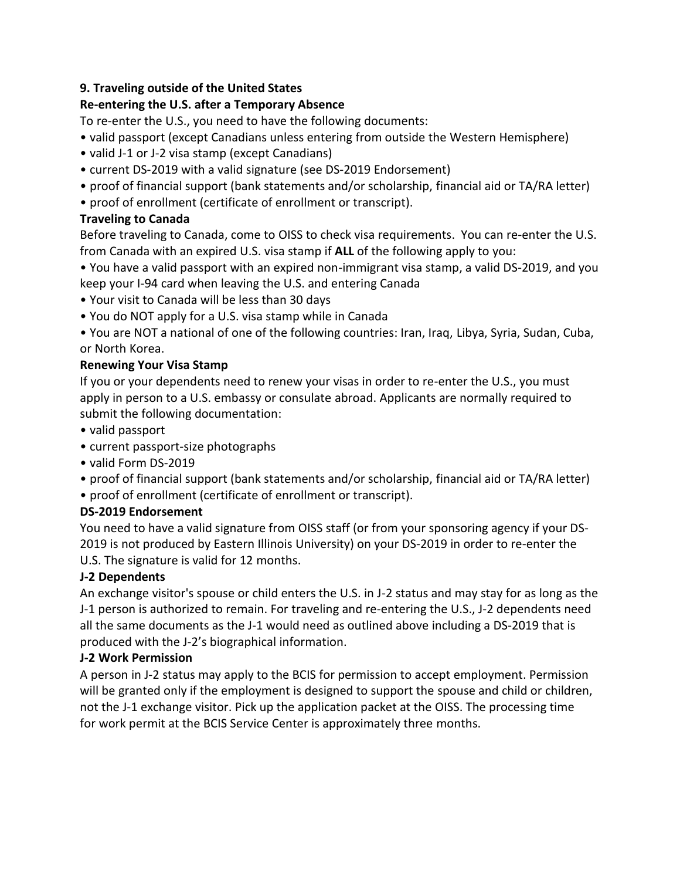## **9. Traveling outside of the United States**

## **Re-entering the U.S. after a Temporary Absence**

To re-enter the U.S., you need to have the following documents:

- valid passport (except Canadians unless entering from outside the Western Hemisphere)
- valid J-1 or J-2 visa stamp (except Canadians)
- current DS-2019 with a valid signature (see DS-2019 Endorsement)
- proof of financial support (bank statements and/or scholarship, financial aid or TA/RA letter)
- proof of enrollment (certificate of enrollment or transcript).

## **Traveling to Canada**

Before traveling to Canada, come to OISS to check visa requirements. You can re-enter the U.S. from Canada with an expired U.S. visa stamp if **ALL** of the following apply to you:

- You have a valid passport with an expired non-immigrant visa stamp, a valid DS-2019, and you keep your I-94 card when leaving the U.S. and entering Canada
- Your visit to Canada will be less than 30 days
- You do NOT apply for a U.S. visa stamp while in Canada
- You are NOT a national of one of the following countries: Iran, Iraq, Libya, Syria, Sudan, Cuba, or North Korea.

## **Renewing Your Visa Stamp**

If you or your dependents need to renew your visas in order to re-enter the U.S., you must apply in person to a U.S. embassy or consulate abroad. Applicants are normally required to submit the following documentation:

- valid passport
- current passport-size photographs
- valid Form DS-2019
- proof of financial support (bank statements and/or scholarship, financial aid or TA/RA letter)
- proof of enrollment (certificate of enrollment or transcript).

# **DS-2019 Endorsement**

You need to have a valid signature from OISS staff (or from your sponsoring agency if your DS-2019 is not produced by Eastern Illinois University) on your DS-2019 in order to re-enter the U.S. The signature is valid for 12 months.

# **J-2 Dependents**

An exchange visitor's spouse or child enters the U.S. in J-2 status and may stay for as long as the J-1 person is authorized to remain. For traveling and re-entering the U.S., J-2 dependents need all the same documents as the J-1 would need as outlined above including a DS-2019 that is produced with the J-2's biographical information.

# **J-2 Work Permission**

A person in J-2 status may apply to the BCIS for permission to accept employment. Permission will be granted only if the employment is designed to support the spouse and child or children, not the J-1 exchange visitor. Pick up the application packet at the OISS. The processing time for work permit at the BCIS Service Center is approximately three months.